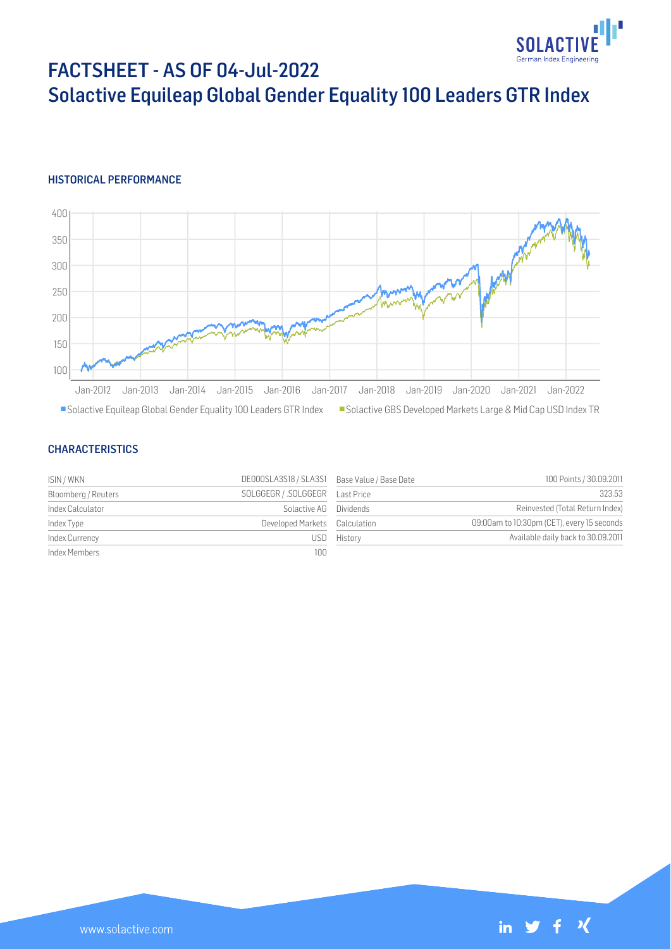

# FACTSHEET - AS OF 04-Jul-2022 Solactive Equileap Global Gender Equality 100 Leaders GTR Index

#### HISTORICAL PERFORMANCE



#### **CHARACTERISTICS**

| ISIN / WKN          | DE000SLA3S18 / SLA3S1 Base Value / Base Date |             | 100 Points / 30.09.2011                    |
|---------------------|----------------------------------------------|-------------|--------------------------------------------|
| Bloomberg / Reuters |                                              |             | 323.53                                     |
| Index Calculator    | Solactive AG Dividends                       |             | Reinvested (Total Return Index)            |
| Index Type          | Developed Markets Calculation                |             | 09:00am to 10:30pm (CET), every 15 seconds |
| Index Currency      |                                              | USD History | Available daily back to 30.09.2011         |
| Index Members       | 100                                          |             |                                            |

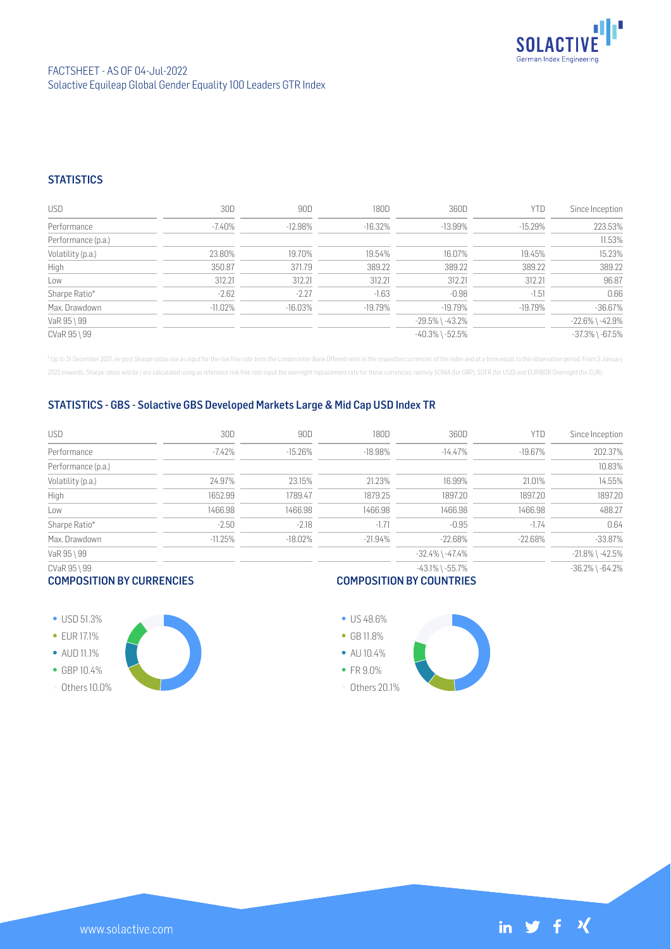

### **STATISTICS**

| <b>USD</b>         | 30D        | 90D        | 180D      | 360D                  | YTD       | Since Inception       |
|--------------------|------------|------------|-----------|-----------------------|-----------|-----------------------|
| Performance        | $-7.40\%$  | $-12.98%$  | $-16.32%$ | $-13.99\%$            | $-15.29%$ | 223.53%               |
| Performance (p.a.) |            |            |           |                       |           | 11.53%                |
| Volatility (p.a.)  | 23.80%     | 19.70%     | 19.54%    | 16.07%                | 19.45%    | 15.23%                |
| High               | 350.87     | 371.79     | 389.22    | 389.22                | 389.22    | 389.22                |
| Low                | 312.21     | 312.21     | 312.21    | 312.21                | 312.21    | 96.87                 |
| Sharpe Ratio*      | $-2.62$    | $-2.27$    | $-1.63$   | $-0.98$               | $-1.51$   | 0.66                  |
| Max. Drawdown      | $-11.02\%$ | $-16.03\%$ | $-19.79%$ | -19.79%               | $-19.79%$ | $-36.67%$             |
| VaR 95 \ 99        |            |            |           | $-29.5\%$ \ $-43.2\%$ |           | $-22.6\%$ \ $-42.9\%$ |
| CVaR 95 \ 99       |            |            |           | $-40.3\%$ \ $-52.5\%$ |           | $-37.3\%$ \ $-67.5\%$ |

\* Up to 31 December 2021, ex-post Sharpe ratios use as input for the risk free rate term the London Inter-Bank Offered rates in the respective currencies of the index and at a term equal to the observation period. From 3 J 2022 onwards, Sharpe ratios will be / are calculated using as reference risk free rate input the overnight replacement rate for these currencies, namely SONIA (for GBP), SOFR (for USD) and EURIBOR Overnight (for EUR).

#### STATISTICS - GBS - Solactive GBS Developed Markets Large & Mid Cap USD Index TR

| USD                | 30D       | 90D        | 180D      | 360D                  | YTD       | Since Inception       |
|--------------------|-----------|------------|-----------|-----------------------|-----------|-----------------------|
| Performance        | $-7.42%$  | $-15.26%$  | $-18.98%$ | $-14.47%$             | $-19.67%$ | 202.37%               |
| Performance (p.a.) |           |            |           |                       |           | 10.83%                |
| Volatility (p.a.)  | 24.97%    | 23.15%     | 21.23%    | 16.99%                | 21.01%    | 14.55%                |
| High               | 1652.99   | 1789.47    | 1879.25   | 1897.20               | 1897.20   | 1897.20               |
| Low                | 1466.98   | 1466.98    | 1466.98   | 1466.98               | 1466.98   | 488.27                |
| Sharpe Ratio*      | $-2.50$   | $-2.18$    | $-1.71$   | $-0.95$               | $-1.74$   | 0.64                  |
| Max. Drawdown      | $-11.25%$ | $-18.02\%$ | $-21.94%$ | $-22.68\%$            | $-22.68%$ | $-33.87%$             |
| VaR 95 \ 99        |           |            |           | $-32.4\%$ \ $-47.4\%$ |           | $-21.8\%$ \ $-42.5\%$ |
| CVaR 95 \ 99       |           |            |           | $-43.1\%$ \ $-55.7\%$ |           | $-36.2\%$ \ $-64.2\%$ |

#### COMPOSITION BY CURRENCIES

# COMPOSITION BY COUNTRIES

- USD 51.3%
- **EUR 17.1%**
- AUD 11.1%
- GBP 10.4%
- Others 10.0%





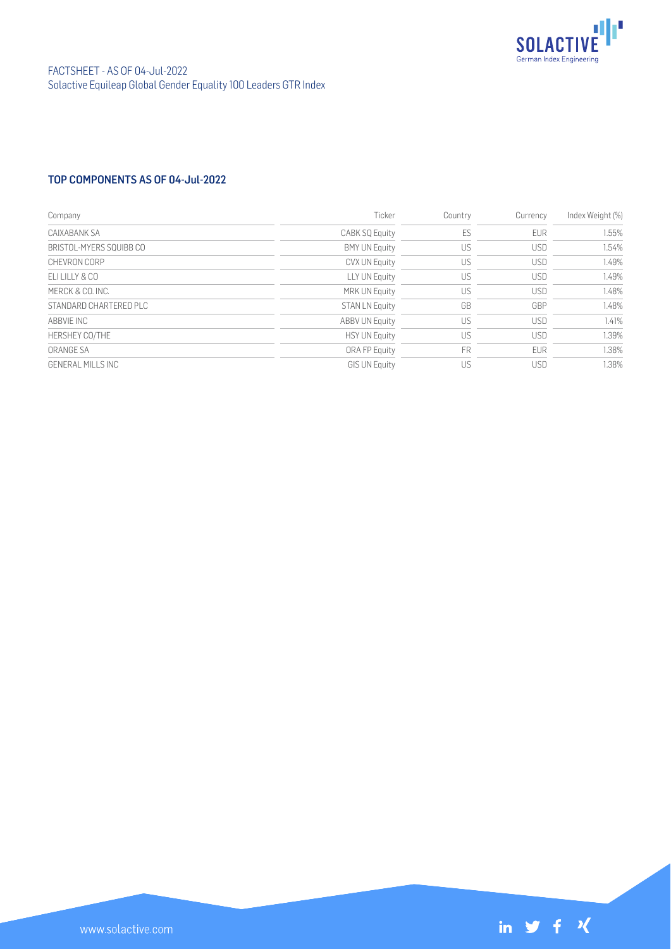

## TOP COMPONENTS AS OF 04-Jul-2022

| Company                 | Ticker                | Country   | Currency   | Index Weight (%) |
|-------------------------|-----------------------|-----------|------------|------------------|
| CAIXABANK SA            | CABK SQ Equity        | ES        | <b>EUR</b> | 1.55%            |
| BRISTOL-MYERS SOUIBB CO | <b>BMY UN Equity</b>  | US        | <b>USD</b> | 1.54%            |
| CHEVRON CORP            | CVX UN Equity         | US        | <b>USD</b> | 1.49%            |
| F11111Y&C0              | LLY UN Equity         | US        | USD        | 1.49%            |
| MERCK & CO. INC.        | MRK UN Equity         | US        | <b>USD</b> | 1.48%            |
| STANDARD CHARTERED PLC  | <b>STAN LN Equity</b> | GB        | GBP        | 1.48%            |
| ABBVIF INC              | <b>ABBV UN Equity</b> | US        | <b>USD</b> | 1.41%            |
| HERSHEY CO/THE          | <b>HSY UN Equity</b>  | US        | <b>USD</b> | 1.39%            |
| ORANGE SA               | ORA FP Equity         | <b>FR</b> | <b>EUR</b> | 1.38%            |
| GENERAL MILLS INC       | <b>GIS UN Equity</b>  | US        | <b>USD</b> | 1.38%            |